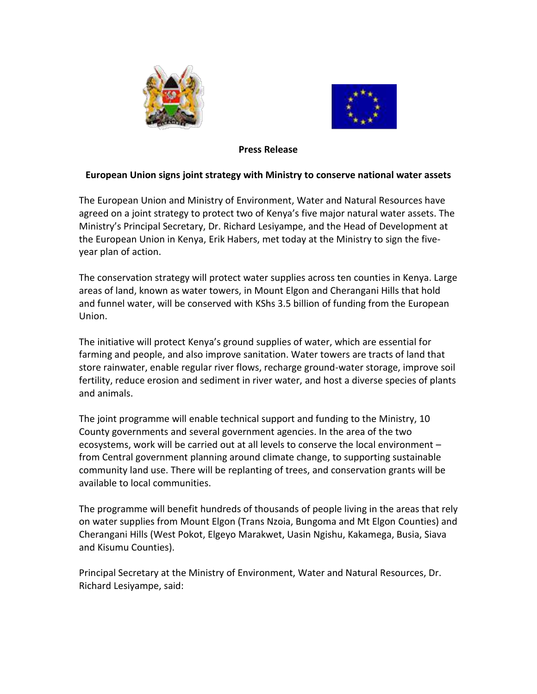



## **Press Release**

## **European Union signs joint strategy with Ministry to conserve national water assets**

The European Union and Ministry of Environment, Water and Natural Resources have agreed on a joint strategy to protect two of Kenya's five major natural water assets. The Ministry's Principal Secretary, Dr. Richard Lesiyampe, and the Head of Development at the European Union in Kenya, Erik Habers, met today at the Ministry to sign the fiveyear plan of action.

The conservation strategy will protect water supplies across ten counties in Kenya. Large areas of land, known as water towers, in Mount Elgon and Cherangani Hills that hold and funnel water, will be conserved with KShs 3.5 billion of funding from the European Union.

The initiative will protect Kenya's ground supplies of water, which are essential for farming and people, and also improve sanitation. Water towers are tracts of land that store rainwater, enable regular river flows, recharge ground-water storage, improve soil fertility, reduce erosion and sediment in river water, and host a diverse species of plants and animals.

The joint programme will enable technical support and funding to the Ministry, 10 County governments and several government agencies. In the area of the two ecosystems, work will be carried out at all levels to conserve the local environment – from Central government planning around climate change, to supporting sustainable community land use. There will be replanting of trees, and conservation grants will be available to local communities.

The programme will benefit hundreds of thousands of people living in the areas that rely on water supplies from Mount Elgon (Trans Nzoia, Bungoma and Mt Elgon Counties) and Cherangani Hills (West Pokot, Elgeyo Marakwet, Uasin Ngishu, Kakamega, Busia, Siava and Kisumu Counties).

Principal Secretary at the Ministry of Environment, Water and Natural Resources, Dr. Richard Lesiyampe, said: